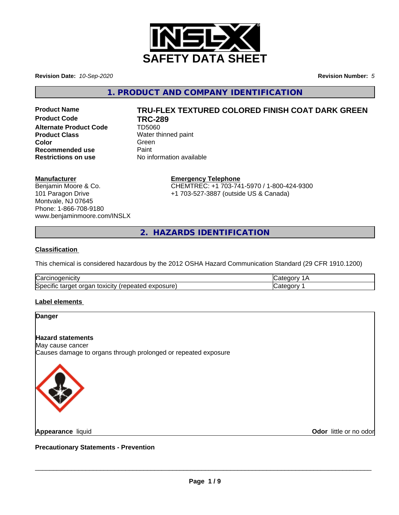

**Revision Date:** *10-Sep-2020* **Revision Number:** *5*

**1. PRODUCT AND COMPANY IDENTIFICATION**

**Product Code TRC-289 Alternate Product Code** TD5060 **Product Class** Water thinned paint **Color** Green **Green** Green **Green Recommended use** Paint<br> **Restrictions on use** No inf

# **Product Name TRU-FLEX TEXTURED COLORED FINISH COAT DARK GREEN**

**No information available** 

# **Manufacturer**

Benjamin Moore & Co. 101 Paragon Drive Montvale, NJ 07645 Phone: 1-866-708-9180 www.benjaminmoore.com/INSLX

# **Emergency Telephone**

CHEMTREC: +1 703-741-5970 / 1-800-424-9300 +1 703-527-3887 (outside US & Canada)

**2. HAZARDS IDENTIFICATION**

# **Classification**

This chemical is considered hazardous by the 2012 OSHA Hazard Communication Standard (29 CFR 1910.1200)

| ⌒<br>luai<br>ш                                                                          |  |
|-----------------------------------------------------------------------------------------|--|
| Spe<br>.oosure<br><b>UXICITY</b> I'M<br>″∨د<br>$\cdots$<br>œ<br>aie,<br>таг<br>ラハト<br>. |  |

#### **Label elements**



**Appearance** liquid

**Odor** little or no odor

**Precautionary Statements - Prevention**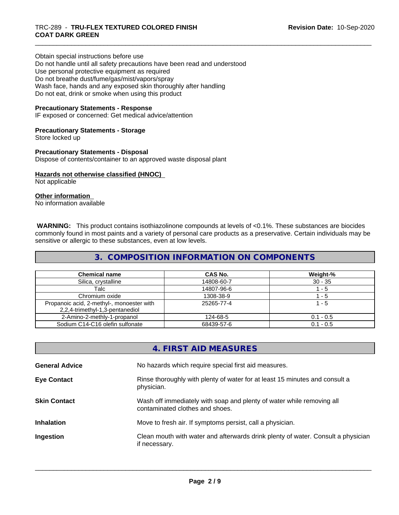Obtain special instructions before use Do not handle until all safety precautions have been read and understood Use personal protective equipment as required Do not breathe dust/fume/gas/mist/vapors/spray Wash face, hands and any exposed skin thoroughly after handling Do not eat, drink or smoke when using this product

# **Precautionary Statements - Response**

IF exposed or concerned: Get medical advice/attention

#### **Precautionary Statements - Storage**

Store locked up

# **Precautionary Statements - Disposal**

Dispose of contents/container to an approved waste disposal plant

# **Hazards not otherwise classified (HNOC)**

Not applicable

# **Other information**

No information available

 **WARNING:** This product contains isothiazolinone compounds at levels of <0.1%. These substances are biocides commonly found in most paints and a variety of personal care products as a preservative. Certain individuals may be sensitive or allergic to these substances, even at low levels.

# **3. COMPOSITION INFORMATION ON COMPONENTS**

| <b>Chemical name</b>                                                         | CAS No.    | Weight-%    |
|------------------------------------------------------------------------------|------------|-------------|
| Silica, crystalline                                                          | 14808-60-7 | $30 - 35$   |
| Talc                                                                         | 14807-96-6 | - 5         |
| Chromium oxide                                                               | 1308-38-9  | - 5         |
| Propanoic acid, 2-methyl-, monoester with<br>2,2,4-trimethyl-1,3-pentanediol | 25265-77-4 | 1 - 5       |
| 2-Amino-2-methly-1-propanol                                                  | 124-68-5   | $0.1 - 0.5$ |
| Sodium C14-C16 olefin sulfonate                                              | 68439-57-6 | $0.1 - 0.5$ |

# **4. FIRST AID MEASURES**

| <b>General Advice</b> | No hazards which require special first aid measures.                                                     |
|-----------------------|----------------------------------------------------------------------------------------------------------|
| <b>Eye Contact</b>    | Rinse thoroughly with plenty of water for at least 15 minutes and consult a<br>physician.                |
| <b>Skin Contact</b>   | Wash off immediately with soap and plenty of water while removing all<br>contaminated clothes and shoes. |
| <b>Inhalation</b>     | Move to fresh air. If symptoms persist, call a physician.                                                |
| Ingestion             | Clean mouth with water and afterwards drink plenty of water. Consult a physician<br>if necessary.        |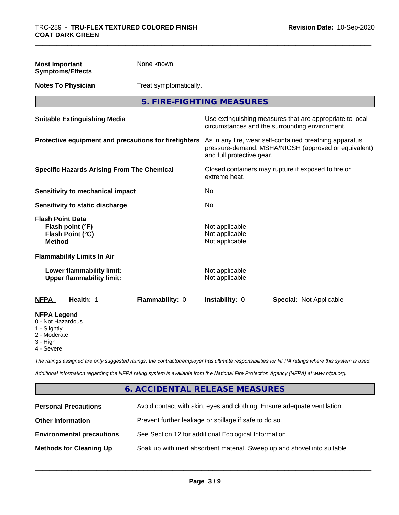| <b>Most Important</b><br><b>Symptoms/Effects</b>                                                  | None known.            |                                                                      |                                                                                                                 |
|---------------------------------------------------------------------------------------------------|------------------------|----------------------------------------------------------------------|-----------------------------------------------------------------------------------------------------------------|
| <b>Notes To Physician</b>                                                                         | Treat symptomatically. |                                                                      |                                                                                                                 |
|                                                                                                   |                        | 5. FIRE-FIGHTING MEASURES                                            |                                                                                                                 |
| <b>Suitable Extinguishing Media</b>                                                               |                        |                                                                      | Use extinguishing measures that are appropriate to local<br>circumstances and the surrounding environment.      |
| Protective equipment and precautions for firefighters                                             |                        | and full protective gear.                                            | As in any fire, wear self-contained breathing apparatus<br>pressure-demand, MSHA/NIOSH (approved or equivalent) |
| <b>Specific Hazards Arising From The Chemical</b>                                                 |                        | Closed containers may rupture if exposed to fire or<br>extreme heat. |                                                                                                                 |
| <b>Sensitivity to mechanical impact</b>                                                           |                        | No                                                                   |                                                                                                                 |
| Sensitivity to static discharge                                                                   |                        | No                                                                   |                                                                                                                 |
| <b>Flash Point Data</b><br>Flash point (°F)<br>Flash Point (°C)<br><b>Method</b>                  |                        | Not applicable<br>Not applicable<br>Not applicable                   |                                                                                                                 |
| <b>Flammability Limits In Air</b>                                                                 |                        |                                                                      |                                                                                                                 |
| Lower flammability limit:<br><b>Upper flammability limit:</b>                                     |                        | Not applicable<br>Not applicable                                     |                                                                                                                 |
| <b>NFPA</b><br>Health: 1                                                                          | Flammability: 0        | Instability: 0                                                       | Special: Not Applicable                                                                                         |
| <b>NFPA Legend</b><br>0 - Not Hazardous<br>1 - Slightly<br>2 - Moderate<br>3 - High<br>4 - Severe |                        |                                                                      |                                                                                                                 |

*The ratings assigned are only suggested ratings, the contractor/employer has ultimate responsibilities for NFPA ratings where this system is used.*

*Additional information regarding the NFPA rating system is available from the National Fire Protection Agency (NFPA) at www.nfpa.org.*

# **6. ACCIDENTAL RELEASE MEASURES**

| <b>Personal Precautions</b>      | Avoid contact with skin, eyes and clothing. Ensure adequate ventilation. |
|----------------------------------|--------------------------------------------------------------------------|
| <b>Other Information</b>         | Prevent further leakage or spillage if safe to do so.                    |
| <b>Environmental precautions</b> | See Section 12 for additional Ecological Information.                    |
| <b>Methods for Cleaning Up</b>   | Soak up with inert absorbent material. Sweep up and shovel into suitable |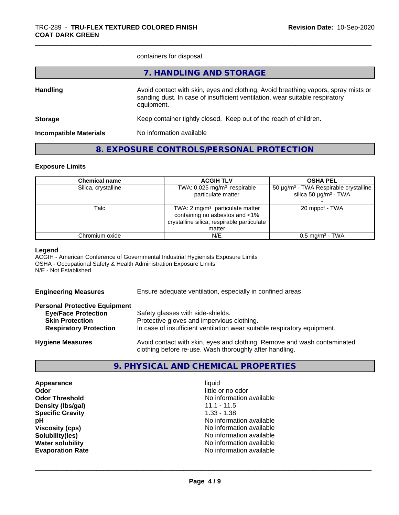containers for disposal.

|                               | 7. HANDLING AND STORAGE                                                                                                                                                          |
|-------------------------------|----------------------------------------------------------------------------------------------------------------------------------------------------------------------------------|
| <b>Handling</b>               | Avoid contact with skin, eyes and clothing. Avoid breathing vapors, spray mists or<br>sanding dust. In case of insufficient ventilation, wear suitable respiratory<br>equipment. |
| <b>Storage</b>                | Keep container tightly closed. Keep out of the reach of children.                                                                                                                |
| <b>Incompatible Materials</b> | No information available                                                                                                                                                         |
|                               |                                                                                                                                                                                  |

# **8. EXPOSURE CONTROLS/PERSONAL PROTECTION**

# **Exposure Limits**

| <b>Chemical name</b> | <b>ACGIH TLV</b>                                                                                                            | <b>OSHA PEL</b>                                                                             |
|----------------------|-----------------------------------------------------------------------------------------------------------------------------|---------------------------------------------------------------------------------------------|
| Silica, crystalline  | TWA: 0.025 mg/m <sup>3</sup> respirable<br>particulate matter                                                               | 50 μg/m <sup>3</sup> - TWA Respirable crystalline<br>silica 50 $\mu$ g/m <sup>3</sup> - TWA |
| Talc                 | TWA: 2 $mg/m3$ particulate matter<br>containing no asbestos and <1%<br>crystalline silica, respirable particulate<br>matter | 20 mppcf - TWA                                                                              |
| Chromium oxide       | N/E                                                                                                                         | $0.5$ mg/m <sup>3</sup> - TWA                                                               |

#### **Legend**

ACGIH - American Conference of Governmental Industrial Hygienists Exposure Limits OSHA - Occupational Safety & Health Administration Exposure Limits N/E - Not Established

| <b>Engineering Measures</b> | Ensure adequate ventilation, especially in confined areas. |  |
|-----------------------------|------------------------------------------------------------|--|
|-----------------------------|------------------------------------------------------------|--|

# **Personal Protective Equipment**

| <b>Eye/Face Protection</b>    | Safety glasses with side-shields.                                        |  |
|-------------------------------|--------------------------------------------------------------------------|--|
| <b>Skin Protection</b>        | Protective gloves and impervious clothing.                               |  |
| <b>Respiratory Protection</b> | In case of insufficient ventilation wear suitable respiratory equipment. |  |
| <b>Hygiene Measures</b>       | Avoid contact with skin, eyes and clothing. Remove and wash contaminated |  |

# **9. PHYSICAL AND CHEMICAL PROPERTIES**

clothing before re-use. Wash thoroughly after handling.

**Appearance** liquid **and a limitation of the contract of the contract of the contract of the contract of the contract of the contract of the contract of the contract of the contract of the contract of the contract of the c Density (lbs/gal)** 11.1 - 11.5<br> **Specific Gravity** 1.33 - 1.38 **Specific Gravity** 

**Odor** little or no odor **Odor Threshold** No information available **pH pH**  $\blacksquare$ **Viscosity (cps)**<br> **Viscosity (cps)**<br> **Solubility(ies)**<br> **Solubility(ies) Solubility(ies)** No information available **Water solubility**<br> **Evaporation Rate**<br> **Evaporation Rate**<br> **Evaporation Rate Evaporation Rate** No information available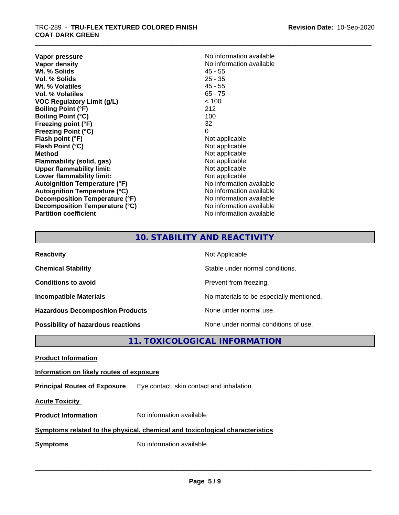**Vapor pressure** No information available<br> **Vapor density**<br> **Vapor density Wt. % Solids** 45 - 55<br> **Vol. % Solids** 25 - 35 **Vol. % Solids Wt. % Volatiles** 45 - 55 **Vol. % Volatiles** 65 - 75 **VOC Regulatory Limit (g/L)** < 100 **Boiling Point (°F)** 212 **Boiling Point (°C)** 100 **Freezing point (°F)** 32 **Freezing Point (°C)** 0 **Flash point (°F)**<br> **Flash Point (°C)**<br> **Flash Point (°C)**<br> **C Flash Point (°C)**<br>Method **Flammability** (solid, gas) **Upper flammability limit:**<br> **Lower flammability limit:** Not applicable Not applicable **Lower flammability limit:**<br> **Autoignition Temperature (°F)** Not applicable havailable **Autoignition Temperature (°F) Autoignition Temperature (°C)**<br> **Decomposition Temperature (°F)** No information available **Decomposition Temperature (°F) Decomposition Temperature (°C)** No information available **Partition coefficient Contract Contract Contract Contract Contract Contract Contract Contract Contract Contract Contract Contract Contract Contract Contract Contract Contract Contract Contract Contract Contract Contract** 

**No information available**<br>45 - 55 **Not applicable**<br>Not applicable

# **10. STABILITY AND REACTIVITY**

| <b>Reactivity</b>                         | Not Applicable                           |
|-------------------------------------------|------------------------------------------|
| <b>Chemical Stability</b>                 | Stable under normal conditions.          |
| <b>Conditions to avoid</b>                | Prevent from freezing.                   |
| <b>Incompatible Materials</b>             | No materials to be especially mentioned. |
| <b>Hazardous Decomposition Products</b>   | None under normal use.                   |
| <b>Possibility of hazardous reactions</b> | None under normal conditions of use.     |

# **11. TOXICOLOGICAL INFORMATION**

**Product Information**

**Information on likely routes of exposure**

**Principal Routes of Exposure** Eye contact, skin contact and inhalation.

**Acute Toxicity** 

**Product Information** No information available

# **Symptoms related to the physical,chemical and toxicological characteristics**

**Symptoms** No information available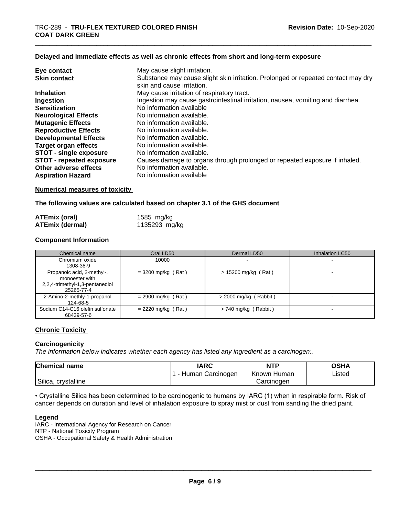# **Delayed and immediate effects as well as chronic effects from short and long-term exposure**

| Eye contact                     | May cause slight irritation.                                                                                    |
|---------------------------------|-----------------------------------------------------------------------------------------------------------------|
| <b>Skin contact</b>             | Substance may cause slight skin irritation. Prolonged or repeated contact may dry<br>skin and cause irritation. |
| <b>Inhalation</b>               | May cause irritation of respiratory tract.                                                                      |
| Ingestion                       | Ingestion may cause gastrointestinal irritation, nausea, vomiting and diarrhea.                                 |
| <b>Sensitization</b>            | No information available                                                                                        |
| <b>Neurological Effects</b>     | No information available.                                                                                       |
| <b>Mutagenic Effects</b>        | No information available.                                                                                       |
| <b>Reproductive Effects</b>     | No information available.                                                                                       |
| <b>Developmental Effects</b>    | No information available.                                                                                       |
| <b>Target organ effects</b>     | No information available.                                                                                       |
| <b>STOT - single exposure</b>   | No information available.                                                                                       |
| <b>STOT - repeated exposure</b> | Causes damage to organs through prolonged or repeated exposure if inhaled.                                      |
| Other adverse effects           | No information available.                                                                                       |
| <b>Aspiration Hazard</b>        | No information available                                                                                        |

# **Numerical measures of toxicity**

#### **The following values are calculated based on chapter 3.1 of the GHS document**

| ATEmix (oral)          | 1585 mg/kg    |
|------------------------|---------------|
| <b>ATEmix (dermal)</b> | 1135293 mg/kg |

# **Component Information**

| Chemical name                                                                                 | Oral LD50            | Dermal LD50             | Inhalation LC50 |
|-----------------------------------------------------------------------------------------------|----------------------|-------------------------|-----------------|
| Chromium oxide                                                                                | 10000                |                         |                 |
| 1308-38-9                                                                                     |                      |                         |                 |
| Propanoic acid, 2-methyl-,<br>monoester with<br>2,2,4-trimethyl-1,3-pentanediol<br>25265-77-4 | $=$ 3200 mg/kg (Rat) | $> 15200$ mg/kg (Rat)   |                 |
| 2-Amino-2-methly-1-propanol<br>124-68-5                                                       | $= 2900$ mg/kg (Rat) | $>$ 2000 mg/kg (Rabbit) |                 |
| Sodium C14-C16 olefin sulfonate<br>68439-57-6                                                 | $= 2220$ mg/kg (Rat) | $> 740$ mg/kg (Rabbit)  |                 |

# **Chronic Toxicity**

#### **Carcinogenicity**

*The information below indicateswhether each agency has listed any ingredient as a carcinogen:.*

| Chemical<br>I name       | <b>IARC</b>               | NTP            | <b>OSHA</b> |
|--------------------------|---------------------------|----------------|-------------|
|                          | Carcinogen<br>uman f<br>- | Known<br>Human | Listed      |
| ' Silica.<br>crvstalline |                           | Carcinogen     |             |

• Crystalline Silica has been determined to be carcinogenic to humans by IARC (1) when in respirable form. Risk of cancer depends on duration and level of inhalation exposure to spray mist or dust from sanding the dried paint.

#### **Legend**

IARC - International Agency for Research on Cancer NTP - National Toxicity Program OSHA - Occupational Safety & Health Administration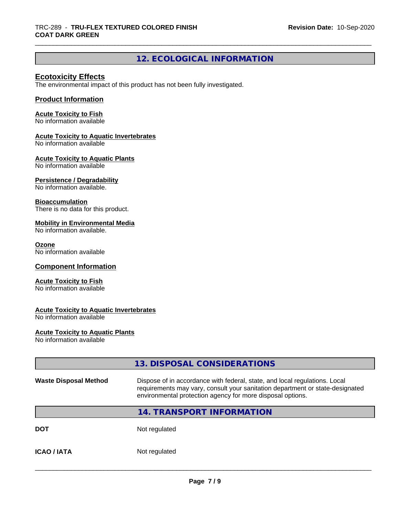# **12. ECOLOGICAL INFORMATION**

# **Ecotoxicity Effects**

The environmental impact of this product has not been fully investigated.

# **Product Information**

# **Acute Toxicity to Fish**

No information available

# **Acute Toxicity to Aquatic Invertebrates**

No information available

# **Acute Toxicity to Aquatic Plants**

No information available

# **Persistence / Degradability**

No information available.

#### **Bioaccumulation**

There is no data for this product.

# **Mobility in Environmental Media**

No information available.

#### **Ozone**

No information available

# **Component Information**

#### **Acute Toxicity to Fish**

No information available

# **Acute Toxicity to Aquatic Invertebrates**

No information available

# **Acute Toxicity to Aquatic Plants**

No information available

|                              | 13. DISPOSAL CONSIDERATIONS                                                                                                                                                                                               |
|------------------------------|---------------------------------------------------------------------------------------------------------------------------------------------------------------------------------------------------------------------------|
| <b>Waste Disposal Method</b> | Dispose of in accordance with federal, state, and local regulations. Local<br>requirements may vary, consult your sanitation department or state-designated<br>environmental protection agency for more disposal options. |
|                              | 14. TRANSPORT INFORMATION                                                                                                                                                                                                 |
| <b>DOT</b>                   | Not regulated                                                                                                                                                                                                             |
| <b>ICAO/IATA</b>             | Not regulated                                                                                                                                                                                                             |
|                              |                                                                                                                                                                                                                           |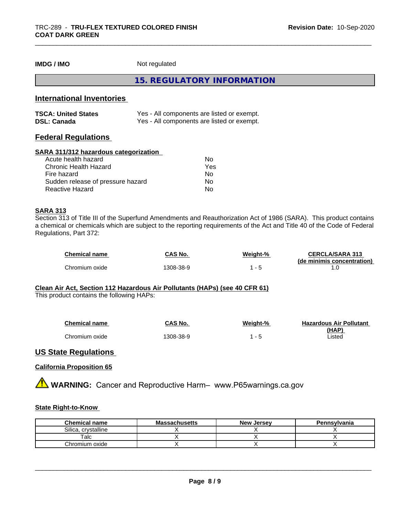**IMDG / IMO** Not regulated

**15. REGULATORY INFORMATION**

# **International Inventories**

| <b>TSCA: United States</b> | Yes - All components are listed or exempt. |
|----------------------------|--------------------------------------------|
| <b>DSL: Canada</b>         | Yes - All components are listed or exempt. |

# **Federal Regulations**

# **SARA 311/312 hazardous categorization**

| Acute health hazard               | No. |  |
|-----------------------------------|-----|--|
| Chronic Health Hazard             | Yes |  |
| Fire hazard                       | N٥  |  |
| Sudden release of pressure hazard | Nο  |  |
| Reactive Hazard                   | Nο  |  |

# **SARA 313**

Section 313 of Title III of the Superfund Amendments and Reauthorization Act of 1986 (SARA). This product contains a chemical or chemicals which are subject to the reporting requirements of the Act and Title 40 of the Code of Federal Regulations, Part 372:

| <b>Chemical name</b> | CAS No.   | Weight-% | <b>CERCLA/SARA 313</b><br>(de minimis concentration) |
|----------------------|-----------|----------|------------------------------------------------------|
| Chromium oxide       | 1308-38-9 |          |                                                      |

# **Clean Air Act,Section 112 Hazardous Air Pollutants (HAPs) (see 40 CFR 61)**

This product contains the following HAPs:

| <b>Chemical name</b> | CAS No.   | Weight-% | <b>Hazardous Air Pollutant</b> |
|----------------------|-----------|----------|--------------------------------|
|                      |           |          | (HAP)                          |
| Chromium oxide       | 1308-38-9 | ີ        | Listed                         |

# **US State Regulations**

# **California Proposition 65**

**AVIMARNING:** Cancer and Reproductive Harm– www.P65warnings.ca.gov

# **State Right-to-Know**

| <b>Chemical name</b>   | <b>Massachusetts</b> | <b>New Jersey</b> | Pennsylvania |
|------------------------|----------------------|-------------------|--------------|
| Silica.<br>crystalline |                      |                   |              |
| alc                    |                      |                   |              |
| Chromium oxide         |                      |                   |              |